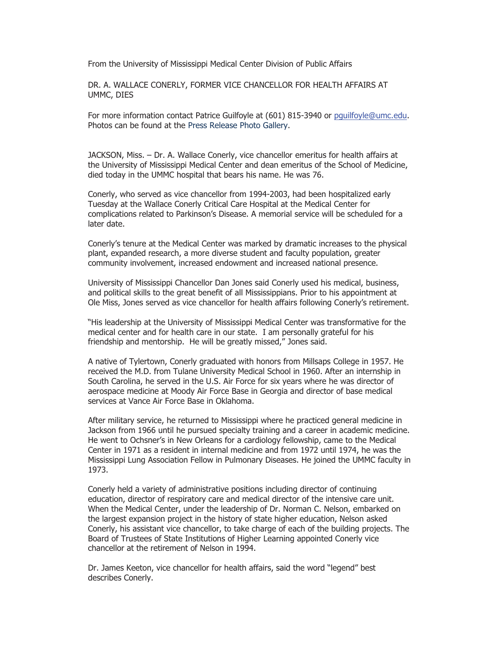From the University of Mississippi Medical Center Division of Public Affairs

DR. A. WALLACE CONERLY, FORMER VICE CHANCELLOR FOR HEALTH AFFAIRS AT UMMC, DIES

For more information contact Patrice Guilfoyle at (601) 815-3940 or pguilfoyle@umc.edu. Photos can be found at the Press Release Photo Gallery.

JACKSON, Miss. – Dr. A. Wallace Conerly, vice chancellor emeritus for health affairs at the University of Mississippi Medical Center and dean emeritus of the School of Medicine, died today in the UMMC hospital that bears his name. He was 76.

Conerly, who served as vice chancellor from 1994-2003, had been hospitalized early Tuesday at the Wallace Conerly Critical Care Hospital at the Medical Center for complications related to Parkinson's Disease. A memorial service will be scheduled for a later date.

Conerly's tenure at the Medical Center was marked by dramatic increases to the physical plant, expanded research, a more diverse student and faculty population, greater community involvement, increased endowment and increased national presence.

University of Mississippi Chancellor Dan Jones said Conerly used his medical, business, and political skills to the great benefit of all Mississippians. Prior to his appointment at Ole Miss, Jones served as vice chancellor for health affairs following Conerly's retirement.

"His leadership at the University of Mississippi Medical Center was transformative for the medical center and for health care in our state. I am personally grateful for his friendship and mentorship. He will be greatly missed," Jones said.

A native of Tylertown, Conerly graduated with honors from Millsaps College in 1957. He received the M.D. from Tulane University Medical School in 1960. After an internship in South Carolina, he served in the U.S. Air Force for six years where he was director of aerospace medicine at Moody Air Force Base in Georgia and director of base medical services at Vance Air Force Base in Oklahoma.

After military service, he returned to Mississippi where he practiced general medicine in Jackson from 1966 until he pursued specialty training and a career in academic medicine. He went to Ochsner's in New Orleans for a cardiology fellowship, came to the Medical Center in 1971 as a resident in internal medicine and from 1972 until 1974, he was the Mississippi Lung Association Fellow in Pulmonary Diseases. He joined the UMMC faculty in 1973.

Conerly held a variety of administrative positions including director of continuing education, director of respiratory care and medical director of the intensive care unit. When the Medical Center, under the leadership of Dr. Norman C. Nelson, embarked on the largest expansion project in the history of state higher education, Nelson asked Conerly, his assistant vice chancellor, to take charge of each of the building projects. The Board of Trustees of State Institutions of Higher Learning appointed Conerly vice chancellor at the retirement of Nelson in 1994.

Dr. James Keeton, vice chancellor for health affairs, said the word "legend" best describes Conerly.